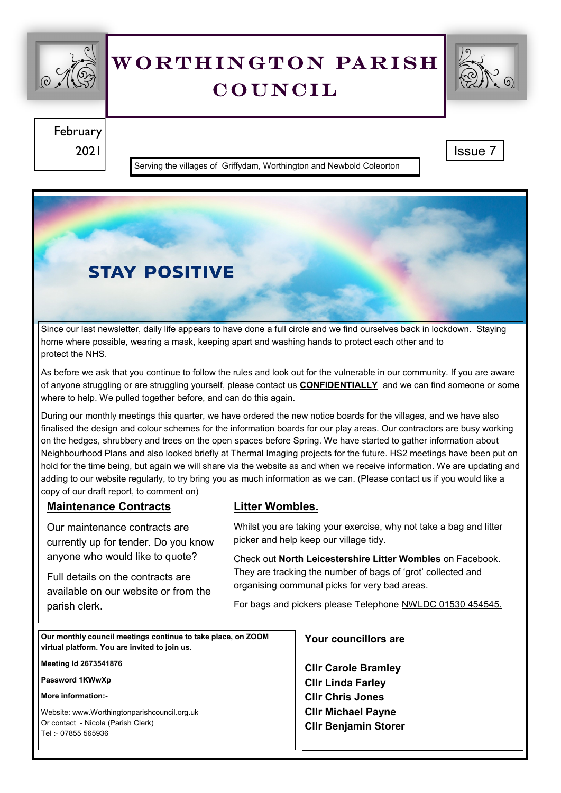

# WORTHINGTON PARISH **COUNCIL**



February 2021 Issue 7

Serving the villages of Griffydam, Worthington and Newbold Coleorton

## **STAY POSITIVE**

Since our last newsletter, daily life appears to have done a full circle and we find ourselves back in lockdown. Staying home where possible, wearing a mask, keeping apart and washing hands to protect each other and to protect the NHS.

As before we ask that you continue to follow the rules and look out for the vulnerable in our community. If you are aware of anyone struggling or are struggling yourself, please contact us **CONFIDENTIALLY** and we can find someone or some where to help. We pulled together before, and can do this again.

During our monthly meetings this quarter, we have ordered the new notice boards for the villages, and we have also finalised the design and colour schemes for the information boards for our play areas. Our contractors are busy working on the hedges, shrubbery and trees on the open spaces before Spring. We have started to gather information about Neighbourhood Plans and also looked briefly at Thermal Imaging projects for the future. HS2 meetings have been put on hold for the time being, but again we will share via the website as and when we receive information. We are updating and adding to our website regularly, to try bring you as much information as we can. (Please contact us if you would like a copy of our draft report, to comment on)

#### **Maintenance Contracts**

Our maintenance contracts are currently up for tender. Do you know anyone who would like to quote?

Full details on the contracts are available on our website or from the parish clerk.

#### **Litter Wombles.**

Whilst you are taking your exercise, why not take a bag and litter picker and help keep our village tidy.

Check out **North Leicestershire Litter Wombles** on Facebook. They are tracking the number of bags of 'grot' collected and organising communal picks for very bad areas.

For bags and pickers please Telephone NWLDC 01530 454545.

| Our monthly council meetings continue to take place, on ZOOM<br>virtual platform. You are invited to join us. | Your councillors are        |
|---------------------------------------------------------------------------------------------------------------|-----------------------------|
| Meeting Id 2673541876                                                                                         | <b>Clir Carole Bramley</b>  |
| Password 1KWwXp                                                                                               | <b>Cllr Linda Farley</b>    |
| More information:-                                                                                            | <b>CIIr Chris Jones</b>     |
| Website: www.Worthingtonparishcouncil.org.uk                                                                  | <b>Clir Michael Payne</b>   |
| Or contact - Nicola (Parish Clerk)<br>Tel: - 07855 565936                                                     | <b>Cllr Benjamin Storer</b> |